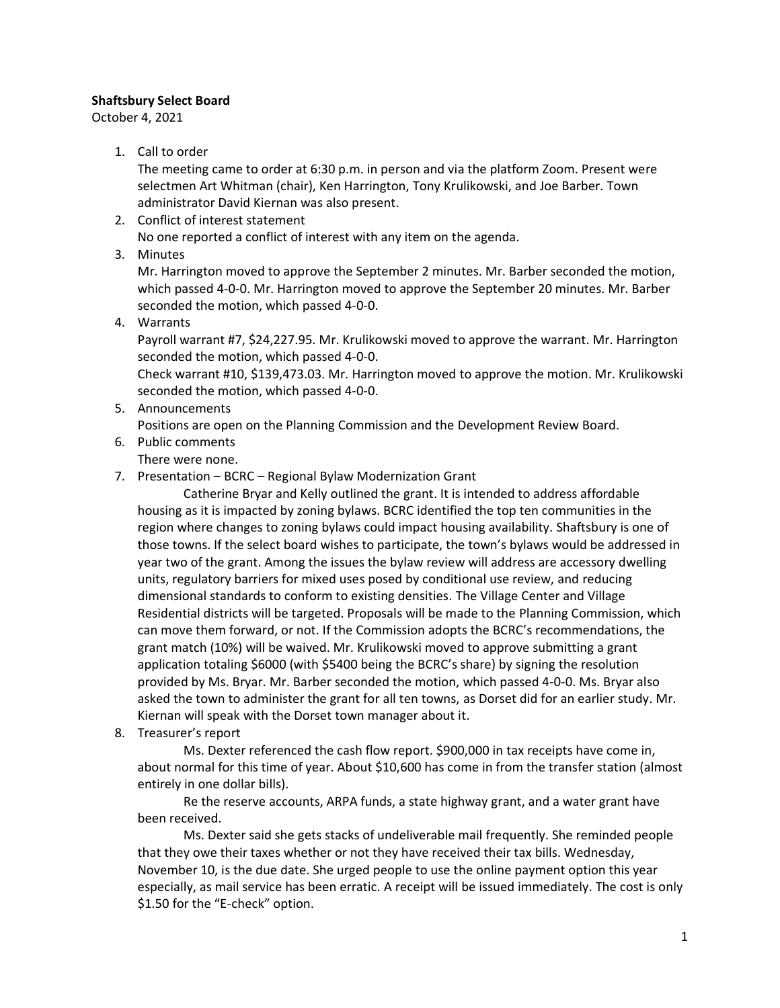## **Shaftsbury Select Board**

October 4, 2021

1. Call to order

The meeting came to order at 6:30 p.m. in person and via the platform Zoom. Present were selectmen Art Whitman (chair), Ken Harrington, Tony Krulikowski, and Joe Barber. Town administrator David Kiernan was also present.

- 2. Conflict of interest statement No one reported a conflict of interest with any item on the agenda.
- 3. Minutes

Mr. Harrington moved to approve the September 2 minutes. Mr. Barber seconded the motion, which passed 4-0-0. Mr. Harrington moved to approve the September 20 minutes. Mr. Barber seconded the motion, which passed 4-0-0.

4. Warrants

Payroll warrant #7, \$24,227.95. Mr. Krulikowski moved to approve the warrant. Mr. Harrington seconded the motion, which passed 4-0-0.

Check warrant #10, \$139,473.03. Mr. Harrington moved to approve the motion. Mr. Krulikowski seconded the motion, which passed 4-0-0.

5. Announcements

Positions are open on the Planning Commission and the Development Review Board.

6. Public comments

There were none.

7. Presentation – BCRC – Regional Bylaw Modernization Grant

Catherine Bryar and Kelly outlined the grant. It is intended to address affordable housing as it is impacted by zoning bylaws. BCRC identified the top ten communities in the region where changes to zoning bylaws could impact housing availability. Shaftsbury is one of those towns. If the select board wishes to participate, the town's bylaws would be addressed in year two of the grant. Among the issues the bylaw review will address are accessory dwelling units, regulatory barriers for mixed uses posed by conditional use review, and reducing dimensional standards to conform to existing densities. The Village Center and Village Residential districts will be targeted. Proposals will be made to the Planning Commission, which can move them forward, or not. If the Commission adopts the BCRC's recommendations, the grant match (10%) will be waived. Mr. Krulikowski moved to approve submitting a grant application totaling \$6000 (with \$5400 being the BCRC's share) by signing the resolution provided by Ms. Bryar. Mr. Barber seconded the motion, which passed 4-0-0. Ms. Bryar also asked the town to administer the grant for all ten towns, as Dorset did for an earlier study. Mr. Kiernan will speak with the Dorset town manager about it.

8. Treasurer's report

Ms. Dexter referenced the cash flow report. \$900,000 in tax receipts have come in, about normal for this time of year. About \$10,600 has come in from the transfer station (almost entirely in one dollar bills).

Re the reserve accounts, ARPA funds, a state highway grant, and a water grant have been received.

Ms. Dexter said she gets stacks of undeliverable mail frequently. She reminded people that they owe their taxes whether or not they have received their tax bills. Wednesday, November 10, is the due date. She urged people to use the online payment option this year especially, as mail service has been erratic. A receipt will be issued immediately. The cost is only \$1.50 for the "E-check" option.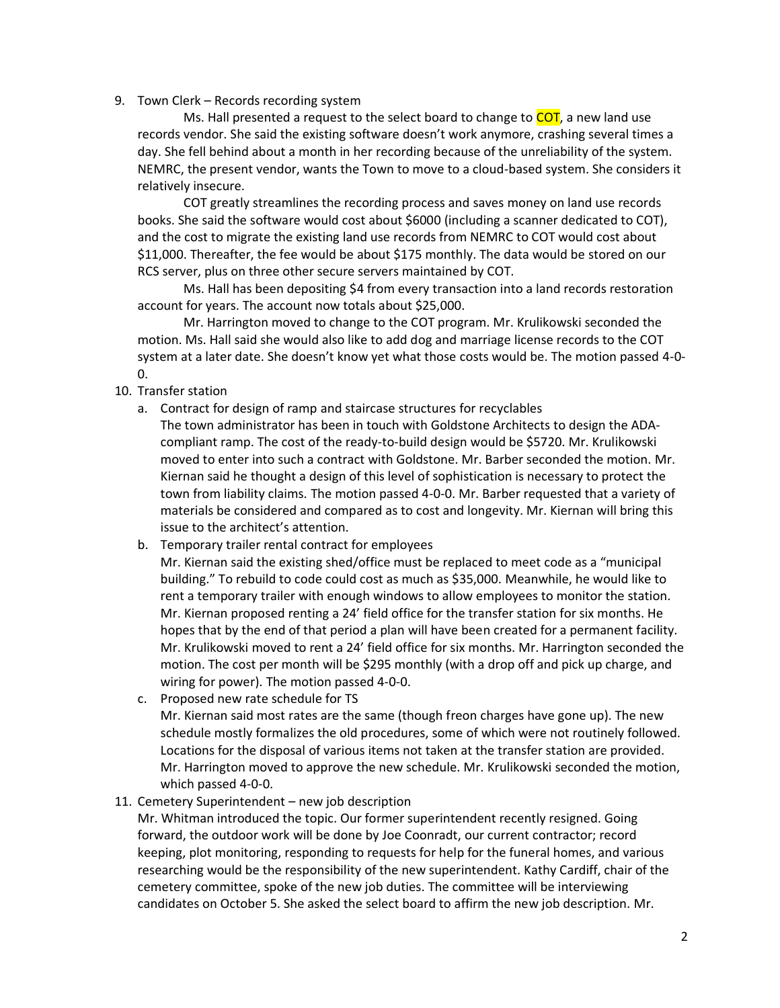## 9. Town Clerk – Records recording system

Ms. Hall presented a request to the select board to change to COT, a new land use records vendor. She said the existing software doesn't work anymore, crashing several times a day. She fell behind about a month in her recording because of the unreliability of the system. NEMRC, the present vendor, wants the Town to move to a cloud-based system. She considers it relatively insecure.

COT greatly streamlines the recording process and saves money on land use records books. She said the software would cost about \$6000 (including a scanner dedicated to COT), and the cost to migrate the existing land use records from NEMRC to COT would cost about \$11,000. Thereafter, the fee would be about \$175 monthly. The data would be stored on our RCS server, plus on three other secure servers maintained by COT.

Ms. Hall has been depositing \$4 from every transaction into a land records restoration account for years. The account now totals about \$25,000.

Mr. Harrington moved to change to the COT program. Mr. Krulikowski seconded the motion. Ms. Hall said she would also like to add dog and marriage license records to the COT system at a later date. She doesn't know yet what those costs would be. The motion passed 4-0- 0.

- 10. Transfer station
	- a. Contract for design of ramp and staircase structures for recyclables The town administrator has been in touch with Goldstone Architects to design the ADAcompliant ramp. The cost of the ready-to-build design would be \$5720. Mr. Krulikowski moved to enter into such a contract with Goldstone. Mr. Barber seconded the motion. Mr. Kiernan said he thought a design of this level of sophistication is necessary to protect the town from liability claims. The motion passed 4-0-0. Mr. Barber requested that a variety of materials be considered and compared as to cost and longevity. Mr. Kiernan will bring this issue to the architect's attention.
	- b. Temporary trailer rental contract for employees
		- Mr. Kiernan said the existing shed/office must be replaced to meet code as a "municipal building." To rebuild to code could cost as much as \$35,000. Meanwhile, he would like to rent a temporary trailer with enough windows to allow employees to monitor the station. Mr. Kiernan proposed renting a 24' field office for the transfer station for six months. He hopes that by the end of that period a plan will have been created for a permanent facility. Mr. Krulikowski moved to rent a 24' field office for six months. Mr. Harrington seconded the motion. The cost per month will be \$295 monthly (with a drop off and pick up charge, and wiring for power). The motion passed 4-0-0.
	- c. Proposed new rate schedule for TS Mr. Kiernan said most rates are the same (though freon charges have gone up). The new schedule mostly formalizes the old procedures, some of which were not routinely followed. Locations for the disposal of various items not taken at the transfer station are provided. Mr. Harrington moved to approve the new schedule. Mr. Krulikowski seconded the motion, which passed 4-0-0.
- 11. Cemetery Superintendent new job description

Mr. Whitman introduced the topic. Our former superintendent recently resigned. Going forward, the outdoor work will be done by Joe Coonradt, our current contractor; record keeping, plot monitoring, responding to requests for help for the funeral homes, and various researching would be the responsibility of the new superintendent. Kathy Cardiff, chair of the cemetery committee, spoke of the new job duties. The committee will be interviewing candidates on October 5. She asked the select board to affirm the new job description. Mr.